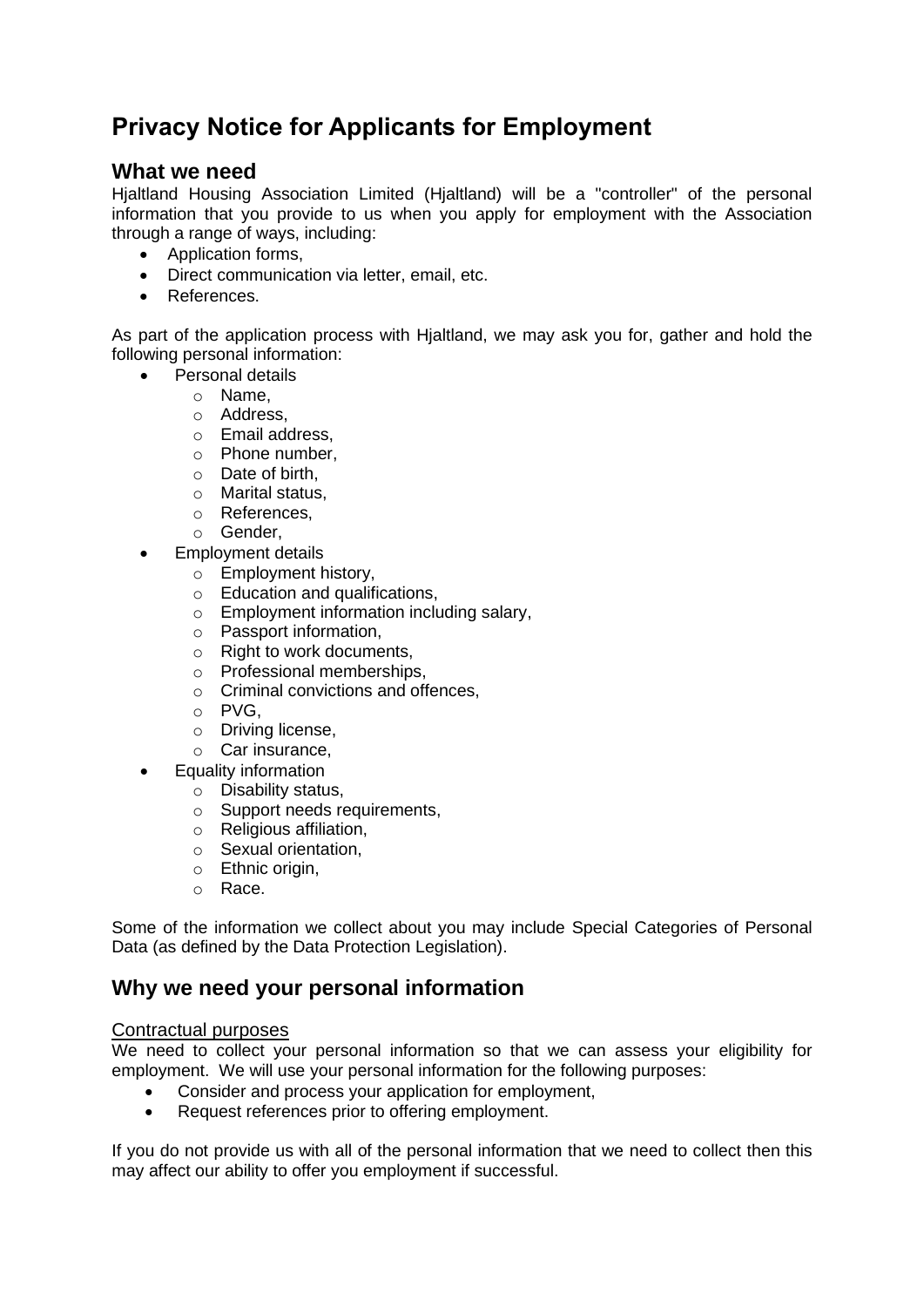# **Privacy Notice for Applicants for Employment**

# **What we need**

Hjaltland Housing Association Limited (Hjaltland) will be a "controller" of the personal information that you provide to us when you apply for employment with the Association through a range of ways, including:

- Application forms,
- Direct communication via letter, email, etc.
- References.

As part of the application process with Hjaltland, we may ask you for, gather and hold the following personal information:

- Personal details
	- o Name,
	- o Address,
	- o Email address,
	- o Phone number,
	- o Date of birth,
	- o Marital status,
	- o References,
	- o Gender,
- Employment details
	- o Employment history,
	- $\circ$  Education and qualifications.
	- o Employment information including salary,
	- o Passport information,
	- o Right to work documents,
	- o Professional memberships,
	- o Criminal convictions and offences,
	- o PVG,
	- o Driving license,
	- o Car insurance,
- Equality information
	- o Disability status,
	- o Support needs requirements,
	- o Religious affiliation,
	- o Sexual orientation,
	- o Ethnic origin,
	- o Race.

Some of the information we collect about you may include Special Categories of Personal Data (as defined by the Data Protection Legislation).

# **Why we need your personal information**

#### Contractual purposes

We need to collect your personal information so that we can assess your eligibility for employment. We will use your personal information for the following purposes:

- Consider and process your application for employment,
- Request references prior to offering employment.

If you do not provide us with all of the personal information that we need to collect then this may affect our ability to offer you employment if successful.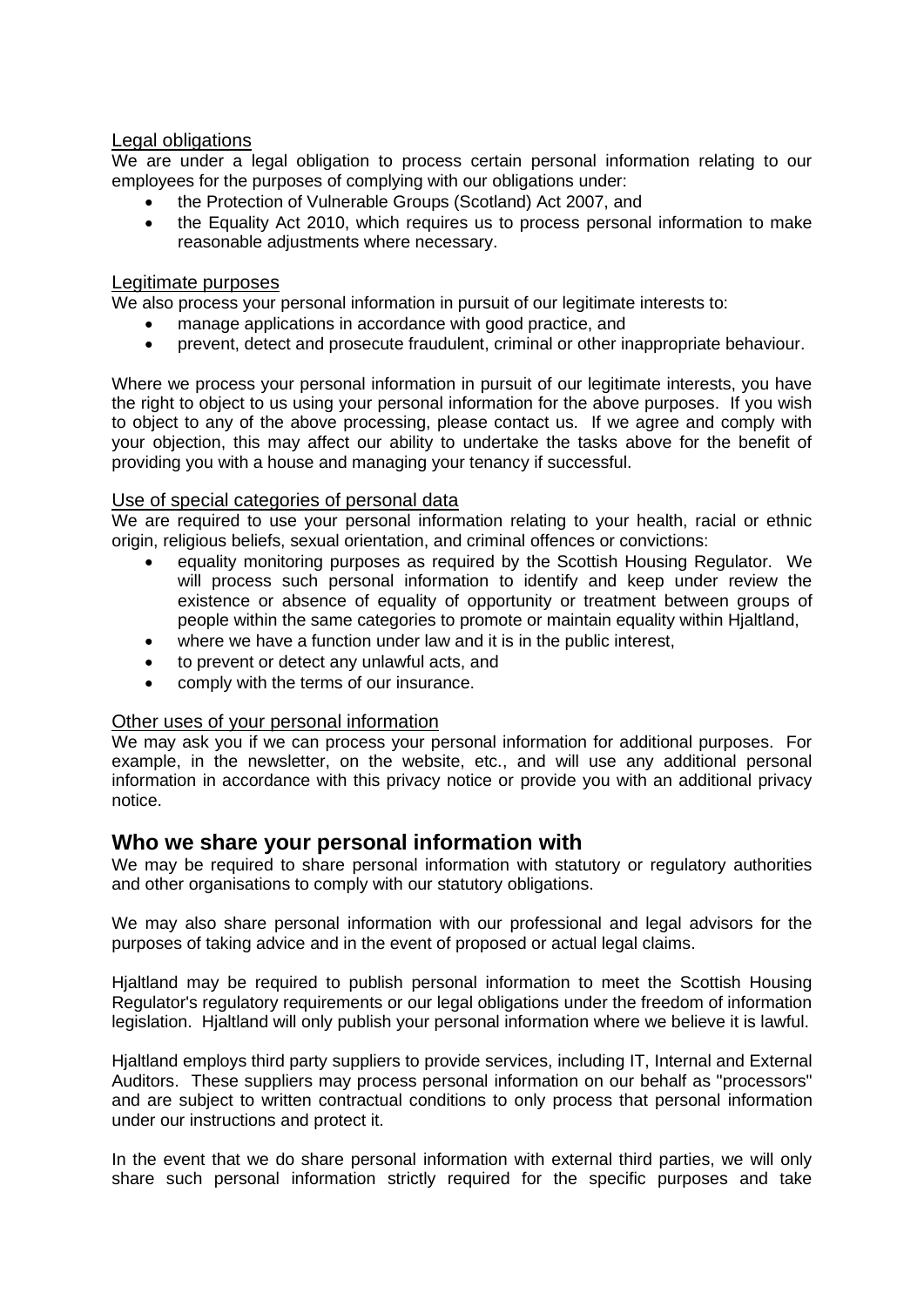#### Legal obligations

We are under a legal obligation to process certain personal information relating to our employees for the purposes of complying with our obligations under:

- the Protection of Vulnerable Groups (Scotland) Act 2007, and
- the Equality Act 2010, which requires us to process personal information to make reasonable adjustments where necessary.

#### Legitimate purposes

We also process your personal information in pursuit of our legitimate interests to:

- manage applications in accordance with good practice, and
- prevent, detect and prosecute fraudulent, criminal or other inappropriate behaviour.

Where we process your personal information in pursuit of our legitimate interests, you have the right to object to us using your personal information for the above purposes. If you wish to object to any of the above processing, please contact us. If we agree and comply with your objection, this may affect our ability to undertake the tasks above for the benefit of providing you with a house and managing your tenancy if successful.

#### Use of special categories of personal data

We are required to use your personal information relating to your health, racial or ethnic origin, religious beliefs, sexual orientation, and criminal offences or convictions:

- equality monitoring purposes as required by the Scottish Housing Regulator. We will process such personal information to identify and keep under review the existence or absence of equality of opportunity or treatment between groups of people within the same categories to promote or maintain equality within Hjaltland,
- where we have a function under law and it is in the public interest,
- to prevent or detect any unlawful acts, and
- comply with the terms of our insurance.

#### Other uses of your personal information

We may ask you if we can process your personal information for additional purposes. For example, in the newsletter, on the website, etc., and will use any additional personal information in accordance with this privacy notice or provide you with an additional privacy notice.

### **Who we share your personal information with**

We may be required to share personal information with statutory or regulatory authorities and other organisations to comply with our statutory obligations.

We may also share personal information with our professional and legal advisors for the purposes of taking advice and in the event of proposed or actual legal claims.

Hialtland may be required to publish personal information to meet the Scottish Housing Regulator's regulatory requirements or our legal obligations under the freedom of information legislation. Hjaltland will only publish your personal information where we believe it is lawful.

Hjaltland employs third party suppliers to provide services, including IT, Internal and External Auditors. These suppliers may process personal information on our behalf as "processors" and are subject to written contractual conditions to only process that personal information under our instructions and protect it.

In the event that we do share personal information with external third parties, we will only share such personal information strictly required for the specific purposes and take